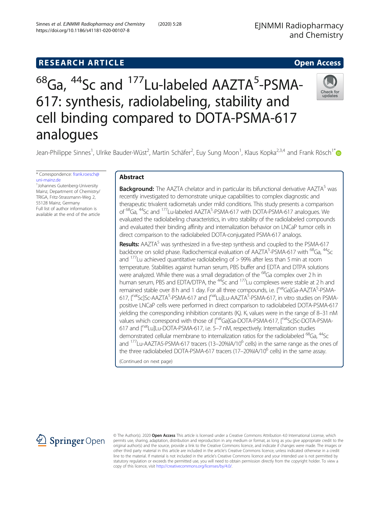# <sup>68</sup>Ga, <sup>44</sup>Sc and <sup>177</sup>Lu-labeled AAZTA<sup>5</sup>-PSMA-617: synthesis, radiolabeling, stability and cell binding compared to DOTA-PSMA-617 analogues



Jean-Philippe Sinnes<sup>1</sup>, Ulrike Bauder-Wüst<sup>2</sup>, Martin Schäfer<sup>2</sup>, Euy Sung Moon<sup>1</sup>, Klaus Kopka<sup>2,3,4</sup> and Frank Rösch<sup>1[\\*](http://orcid.org/0000-0001-7472-4050)</sup>

\* Correspondence: [frank.roesch@](mailto:frank.roesch@uni-mainz.de) [uni-mainz.de](mailto:frank.roesch@uni-mainz.de)

<sup>1</sup>Johannes Gutenberg-University Mainz, Department of Chemistry/ TRIGA, Fritz-Strassmann-Weg 2, 55128 Mainz, Germany Full list of author information is available at the end of the article

# Abstract

**Background:** The AAZTA chelator and in particular its bifunctional derivative AAZTA<sup>5</sup> was recently investigated to demonstrate unique capabilities to complex diagnostic and therapeutic trivalent radiometals under mild conditions. This study presents a comparison of <sup>68</sup>Ga, <sup>44</sup>Sc and <sup>177</sup>Lu-labeled AAZTA<sup>5</sup>-PSMA-617 with DOTA-PSMA-617 analogues. We evaluated the radiolabeling characteristics, in vitro stability of the radiolabeled compounds and evaluated their binding affinity and internalization behavior on LNCaP tumor cells in direct comparison to the radiolabeled DOTA-conjugated PSMA-617 analogs.

**Results:** AAZTA<sup>5</sup> was synthesized in a five-step synthesis and coupled to the PSMA-617 backbone on solid phase. Radiochemical evaluation of AAZTA<sup>5</sup>-PSMA-617 with <sup>68</sup>Ga, <sup>44</sup>Sc and  $177$  Lu achieved quantitative radiolabeling of  $>$  99% after less than 5 min at room temperature. Stabilities against human serum, PBS buffer and EDTA and DTPA solutions were analyzed. While there was a small degradation of the  $^{68}$ Ga complex over 2 h in human serum, PBS and EDTA/DTPA, the <sup>44</sup>Sc and <sup>177</sup>Lu complexes were stable at 2 h and remained stable over 8 h and 1 day. For all three compounds, i.e. [natGa]Ga-AAZTA<sup>5</sup>-PSMA-617, [<sup>nat</sup>Sc]Sc-AAZTA<sup>5</sup>-PSMA-617 and [<sup>nat</sup>Lu]Lu-AAZTA<sup>5</sup>-PSMA-617, in vitro studies on PSMApositive LNCaP cells were performed in direct comparison to radiolabeled DOTA-PSMA-617 yielding the corresponding inhibition constants (K<sub>i</sub>). K<sub>i</sub> values were in the range of 8–31 nM values which correspond with those of [natGa]Ga-DOTA-PSMA-617, [natSc]Sc-DOTA-PSMA-617 and [natLu]Lu-DOTA-PSMA-617, i.e. 5–7 nM, respectively. Internalization studies demonstrated cellular membrane to internalization ratios for the radiolabeled <sup>68</sup>Ga, <sup>44</sup>Sc and  $177$ Lu-AAZTA5-PSMA-617 tracers (13–20%IA/10 $^6$  cells) in the same range as the ones of the three radiolabeled DOTA-PSMA-617 tracers  $(17-20\%$ IA/10<sup>6</sup> cells) in the same assay.

(Continued on next page)



© The Author(s). 2020 Open Access This article is licensed under a Creative Commons Attribution 4.0 International License, which permits use, sharing, adaptation, distribution and reproduction in any medium or format, as long as you give appropriate credit to the original author(s) and the source, provide a link to the Creative Commons licence, and indicate if changes were made. The images or other third party material in this article are included in the article's Creative Commons licence, unless indicated otherwise in a credit line to the material. If material is not included in the article's Creative Commons licence and your intended use is not permitted by statutory regulation or exceeds the permitted use, you will need to obtain permission directly from the copyright holder. To view a copy of this licence, visit <http://creativecommons.org/licenses/by/4.0/>.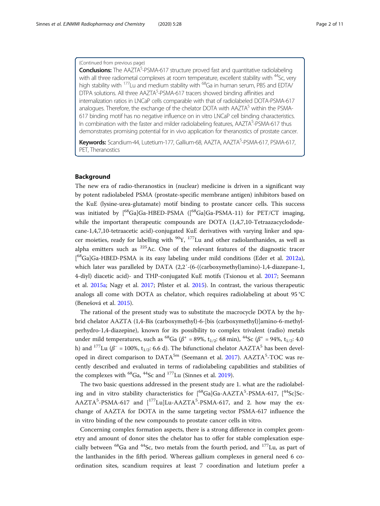# (Continued from previous page)

Conclusions: The AAZTA<sup>5</sup>-PSMA-617 structure proved fast and quantitative radiolabeling with all three radiometal complexes at room temperature, excellent stability with <sup>44</sup>Sc, very high stability with  $177$ Lu and medium stability with  $68$ Ga in human serum, PBS and EDTA/ DTPA solutions. All three AAZTA<sup>5</sup>-PSMA-617 tracers showed binding affinities and internalization ratios in LNCaP cells comparable with that of radiolabeled DOTA-PSMA-617 analogues. Therefore, the exchange of the chelator DOTA with  $AAZTA<sup>5</sup>$  within the PSMA-617 binding motif has no negative influence on in vitro LNCaP cell binding characteristics. In combination with the faster and milder radiolabeling features, AAZTA<sup>5</sup>-PSMA-617 thus demonstrates promising potential for in vivo application for theranostics of prostate cancer.

Keywords: Scandium-44, Lutetium-177, Gallium-68, AAZTA, AAZTA<sup>5</sup>-PSMA-617, PSMA-617, PET, Theranostics

# Background

The new era of radio-theranostics in (nuclear) medicine is driven in a significant way by potent radiolabeled PSMA (prostate-specific membrane antigen) inhibitors based on the KuE (lysine-urea-glutamate) motif binding to prostate cancer cells. This success was initiated by  $[{}^{68}Ga]Ga$ -HBED-PSMA  $([{}^{68}Ga]Ga$ -PSMA-11) for PET/CT imaging, while the important therapeutic compounds are DOTA (1,4,7,10-Tetraazacyclododecane-1,4,7,10-tetraacetic acid)-conjugated KuE derivatives with varying linker and spacer moieties, ready for labelling with  $90Y$ ,  $177$  Lu and other radiolanthanides, as well as alpha emitters such as  $225$  Ac. One of the relevant features of the diagnostic tracer [<sup>68</sup>Ga]Ga-HBED-PSMA is its easy labeling under mild conditions (Eder et al. [2012a](#page-10-0)), which later was paralleled by DATA (2,2'-(6-((carboxymethyl)amino)-1,4-diazepane-1, 4-diyl) diacetic acid)- and THP-conjugated KuE motifs (Tsionou et al. [2017;](#page-10-0) Seemann et al. [2015a](#page-10-0); Nagy et al. [2017;](#page-10-0) Pfister et al. [2015\)](#page-10-0). In contrast, the various therapeutic analogs all come with DOTA as chelator, which requires radiolabeling at about 95 °C (Benešová et al. [2015\)](#page-10-0).

The rational of the present study was to substitute the macrocycle DOTA by the hybrid chelator AAZTA (1,4-Bis (carboxymethyl)-6-[bis (carboxymethyl)]amino-6-methylperhydro-1,4-diazepine), known for its possibility to complex trivalent (radio) metals under mild temperatures, such as <sup>68</sup>Ga ( $\beta^+$  = 89%, t<sub>1/2</sub>: 68 min), <sup>44</sup>Sc ( $\beta^+$  = 94%, t<sub>1/2</sub>: 4.0 h) and <sup>177</sup>Lu ( $\beta^-$  = 100%, t<sub>1/2</sub>: 6.6 d). The bifunctional chelator AAZTA<sup>5</sup> has been devel-oped in direct comparison to DATA<sup>5m</sup> (Seemann et al. [2017\)](#page-10-0). AAZTA<sup>5</sup>-TOC was recently described and evaluated in terms of radiolabeling capabilities and stabilities of the complexes with  $^{68}$ Ga,  $^{44}$ Sc and  $^{177}$ Lu (Sinnes et al. [2019\)](#page-10-0).

The two basic questions addressed in the present study are 1. what are the radiolabeling and in vitro stability characteristics for  $[$ <sup>68</sup>Ga]Ga-AAZTA<sup>5</sup>-PSMA-617,  $[$ <sup>44</sup>Sc]Sc-AAZTA<sup>5</sup>-PSMA-617 and [<sup>177</sup>Lu]Lu-AAZTA<sup>5</sup>-PSMA-617, and 2. how may the exchange of AAZTA for DOTA in the same targeting vector PSMA-617 influence the in vitro binding of the new compounds to prostate cancer cells in vitro.

Concerning complex formation aspects, there is a strong difference in complex geometry and amount of donor sites the chelator has to offer for stable complexation especially between  ${}^{68}$ Ga and  ${}^{44}$ Sc, two metals from the fourth period, and  ${}^{177}$ Lu, as part of the lanthanides in the fifth period. Whereas gallium complexes in general need 6 coordination sites, scandium requires at least 7 coordination and lutetium prefer a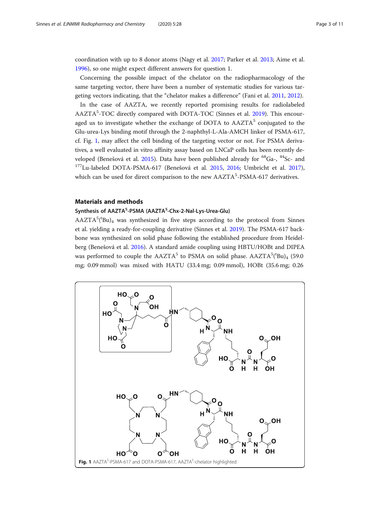<span id="page-2-0"></span>coordination with up to 8 donor atoms (Nagy et al. [2017;](#page-10-0) Parker et al. [2013;](#page-10-0) Aime et al. [1996](#page-10-0)), so one might expect different answers for question 1.

Concerning the possible impact of the chelator on the radiopharmacology of the same targeting vector, there have been a number of systematic studies for various targeting vectors indicating, that the "chelator makes a difference" (Fani et al. [2011,](#page-10-0) [2012](#page-10-0)). In the case of AAZTA, we recently reported promising results for radiolabeled AAZTA<sup>5</sup>-TOC directly compared with DOTA-TOC (Sinnes et al. [2019](#page-10-0)). This encouraged us to investigate whether the exchange of DOTA to  $AAZTA<sup>5</sup>$  conjugated to the Glu-urea-Lys binding motif through the 2-naphthyl-L-Ala-AMCH linker of PSMA-617, cf. Fig. 1, may affect the cell binding of the targeting vector or not. For PSMA derivatives, a well evaluated in vitro affinity assay based on LNCaP cells has been recently de-

veloped (Benešová et al. [2015](#page-10-0)). Data have been published already for <sup>68</sup>Ga-, <sup>44</sup>Sc- and <sup>177</sup>Lu-labeled DOTA-PSMA-617 (Benešová et al. [2015](#page-10-0), [2016;](#page-10-0) Umbricht et al. [2017](#page-10-0)), which can be used for direct comparison to the new AAZTA<sup>5</sup>-PSMA-617 derivatives.

# Materials and methods

# Synthesis of AAZTA<sup>5</sup>-PSMA (AAZTA<sup>5</sup>-Chx-2-Nal-Lys-Urea-Glu)

 $AAZTA<sup>5</sup>(<sup>t</sup>Bu)<sub>4</sub>$  was synthesized in five steps according to the protocol from Sinnes et al. yielding a ready-for-coupling derivative (Sinnes et al. [2019\)](#page-10-0). The PSMA-617 backbone was synthesized on solid phase following the established procedure from Heidelberg (Benešová et al. [2016](#page-10-0)). A standard amide coupling using HBTU/HOBt and DIPEA was performed to couple the  $AAZTA^5$  to PSMA on solid phase.  $AAZTA^5(^tBu)_{4}$  (59.0 mg; 0.09 mmol) was mixed with HATU (33.4 mg; 0.09 mmol), HOBt (35.6 mg; 0.26

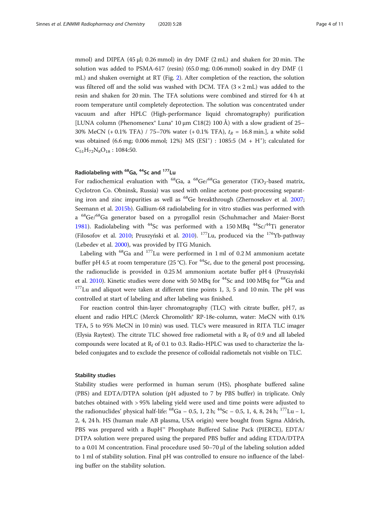mmol) and DIPEA (45 μl; 0.26 mmol) in dry DMF (2 mL) and shaken for 20 min. The solution was added to PSMA-617 (resin) (65.0 mg; 0.06 mmol) soaked in dry DMF (1 mL) and shaken overnight at RT (Fig. [2](#page-5-0)). After completion of the reaction, the solution was filtered off and the solid was washed with DCM. TFA  $(3 \times 2 \text{ mL})$  was added to the resin and shaken for 20 min. The TFA solutions were combined and stirred for 4 h at room temperature until completely deprotection. The solution was concentrated under vacuum and after HPLC (High-performance liquid chromatography) purification [LUNA column (Phenomenex<sup>®</sup> Luna<sup>®</sup> 10 µm C18(2) 100 Å) with a slow gradient of 25– 30% MeCN (+ 0.1% TFA) / 75-70% water (+ 0.1% TFA),  $t_R = 16.8$  min.], a white solid was obtained  $(6.6 \text{ mg}; 0.006 \text{ mmol}; 12\%)$  MS  $(ESI^+)$ : 1085:5  $(M + H^+)$ ; calculated for  $C_{51}H_{72}N_8O_{18}$ : 1084:50.

# Radiolabeling with <sup>68</sup>Ga, <sup>44</sup>Sc and <sup>177</sup>Lu

For radiochemical evaluation with <sup>68</sup>Ga, a <sup>68</sup>Ge/<sup>68</sup>Ga generator (TiO<sub>2</sub>-based matrix, Cyclotron Co. Obninsk, Russia) was used with online acetone post-processing separating iron and zinc impurities as well as  $^{68}$ Ge breakthrough (Zhernosekov et al. [2007](#page-10-0); Seemann et al. [2015b\)](#page-10-0). Gallium-68 radiolabeling for in vitro studies was performed with a <sup>68</sup>Ge/<sup>68</sup>Ga generator based on a pyrogallol resin (Schuhmacher and Maier-Borst [1981](#page-10-0)). Radiolabeling with  $^{44}$ Sc was performed with a 150 MBq  $^{44}$ Sc/ $^{44}$ Ti generator (Filosofov et al. [2010](#page-10-0); Pruszyński et al. 2010).  $^{177}$ Lu, produced via the  $^{176}$ Yb-pathway (Lebedev et al. [2000](#page-10-0)), was provided by ITG Munich.

Labeling with  $^{68}$ Ga and  $^{177}$ Lu were performed in 1 ml of 0.2 M ammonium acetate buffer pH 4.5 at room temperature (25 °C). For <sup>44</sup>Sc, due to the general post processing, the radionuclide is provided in 0.25 M ammonium acetate buffer pH 4 (Pruszyński et al. [2010](#page-10-0)). Kinetic studies were done with 50 MBq for  $^{44}$ Sc and 100 MBq for  $^{68}$ Ga and  $177$ Lu and aliquot were taken at different time points 1, 3, 5 and 10 min. The pH was controlled at start of labeling and after labeling was finished.

For reaction control thin-layer chromatography (TLC) with citrate buffer, pH 7, as eluent and radio HPLC (Merck Chromolith® RP-18e-column, water: MeCN with 0.1% TFA, 5 to 95% MeCN in 10 min) was used. TLC's were measured in RITA TLC imager (Elysia Raytest). The citrate TLC showed free radiometal with a  $R_f$  of 0.9 and all labeled compounds were located at  $R_f$  of 0.1 to 0.3. Radio-HPLC was used to characterize the labeled conjugates and to exclude the presence of colloidal radiometals not visible on TLC.

#### Stability studies

Stability studies were performed in human serum (HS), phosphate buffered saline (PBS) and EDTA/DTPA solution (pH adjusted to 7 by PBS buffer) in triplicate. Only batches obtained with > 95% labeling yield were used and time points were adjusted to the radionuclides' physical half-life:  ${}^{68}Ga - 0.5$ , 1, 2 h;  ${}^{44}Sc - 0.5$ , 1, 4, 8, 24 h;  ${}^{177}Lu - 1$ , 2, 4, 24 h. HS (human male AB plasma, USA origin) were bought from Sigma Aldrich, PBS was prepared with a BupH™ Phosphate Buffered Saline Pack (PIERCE), EDTA/ DTPA solution were prepared using the prepared PBS buffer and adding ETDA/DTPA to a 0.01 M concentration. Final procedure used 50–70 μl of the labeling solution added to 1 ml of stability solution. Final pH was controlled to ensure no influence of the labeling buffer on the stability solution.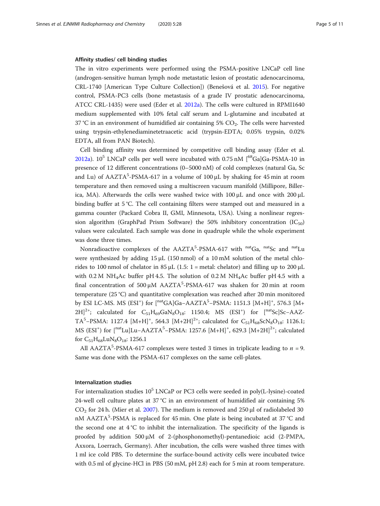#### Affinity studies/ cell binding studies

The in vitro experiments were performed using the PSMA-positive LNCaP cell line (androgen-sensitive human lymph node metastatic lesion of prostatic adenocarcinoma, CRL-1740 [American Type Culture Collection]) (Benešová et al. [2015\)](#page-10-0). For negative control, PSMA-PC3 cells (bone metastasis of a grade IV prostatic adenocarcinoma, ATCC CRL-1435) were used (Eder et al. [2012a](#page-10-0)). The cells were cultured in RPMI1640 medium supplemented with 10% fetal calf serum and L-glutamine and incubated at  $37 \degree$ C in an environment of humidified air containing  $5\%$  CO<sub>2</sub>. The cells were harvested using trypsin-ethylenediaminetetraacetic acid (trypsin-EDTA; 0.05% trypsin, 0.02% EDTA, all from PAN Biotech).

Cell binding affinity was determined by competitive cell binding assay (Eder et al. [2012a\)](#page-10-0).  $10^5$  LNCaP cells per well were incubated with 0.75 nM  $\binom{68}{9}$ Ga $\binom{168}{9}$ Ga-PSMA-10 in presence of 12 different concentrations (0–5000 nM) of cold complexes (natural Ga, Sc and Lu) of  $AAZTA^5-PSMA-617$  in a volume of 100  $\mu$ L by shaking for 45 min at room temperature and then removed using a multiscreen vacuum manifold (Millipore, Billerica, MA). Afterwards the cells were washed twice with  $100 \mu$ L and once with  $200 \mu$ L binding buffer at 5 °C. The cell containing filters were stamped out and measured in a gamma counter (Packard Cobra II, GMI, Minnesota, USA). Using a nonlinear regression algorithm (GraphPad Prism Software) the 50% inhibitory concentration ( $IC_{50}$ ) values were calculated. Each sample was done in quadruple while the whole experiment was done three times.

Nonradioactive complexes of the AAZTA<sup>5</sup>-PSMA-617 with <sup>nat</sup>Ga, <sup>nat</sup>Sc and <sup>nat</sup>Lu were synthesized by adding  $15 \mu L$  (150 nmol) of a 10 mM solution of the metal chlorides to 100 nmol of chelator in 85  $\mu$ L (1.5: 1 = metal: chelator) and filling up to 200  $\mu$ L with 0.2 M NH<sub>4</sub>Ac buffer pH 4.5. The solution of 0.2 M NH<sub>4</sub>Ac buffer pH 4.5 with a final concentration of 500 μM AAZTA<sup>5</sup>-PSMA-617 was shaken for 20 min at room temperature (25 °C) and quantitative complexation was reached after 20 min monitored by ESI LC-MS. MS (ESI<sup>+</sup>) for [<sup>nat</sup>GA]Ga−AAZTA<sup>5</sup>-PSMA: 1151.3 [M+H]<sup>+</sup>, 576.3 [M+  $2H]^{2+}$ ; calculated for  $C_{51}H_{69}GaN_8O_{18}$ : 1150.4; MS (ESI<sup>+</sup>) for [<sup>nat</sup>Sc]Sc-AAZ-TA<sup>5</sup>-PSMA: 1127.4 [M+H]<sup>+</sup>, 564.3 [M+2H]<sup>2+</sup>; calculated for  $C_{51}H_{68}ScN_8O_{18}$ : 1126.1; MS (ESI<sup>+</sup>) for [<sup>nat</sup>Lu]Lu–AAZTA<sup>5</sup>–PSMA: 1257.6 [M+H]<sup>+</sup>, 629.3 [M+2H]<sup>2+</sup>; calculated for  $C_{51}H_{68}LuN_8O_{18}$ : 1256.1

All AAZTA<sup>5</sup>-PSMA-617 complexes were tested 3 times in triplicate leading to  $n = 9$ . Same was done with the PSMA-617 complexes on the same cell-plates.

#### Internalization studies

For internalization studies  $10^5$  LNCaP or PC3 cells were seeded in poly(L-lysine)-coated 24-well cell culture plates at 37 °C in an environment of humidified air containing 5%  $CO<sub>2</sub>$  for 24 h. (Mier et al. [2007](#page-10-0)). The medium is removed and 250 µl of radiolabeled 30 nM AAZTA<sup>5</sup>-PSMA is replaced for 45 min. One plate is being incubated at 37 °C and the second one at  $4^{\circ}C$  to inhibit the internalization. The specificity of the ligands is proofed by addition 500 μM of 2-(phosphonomethyl)-pentanedioic acid (2-PMPA, Axxora, Loerrach, Germany). After incubation, the cells were washed three times with 1 ml ice cold PBS. To determine the surface-bound activity cells were incubated twice with 0.5 ml of glycine-HCl in PBS (50 mM, pH 2.8) each for 5 min at room temperature.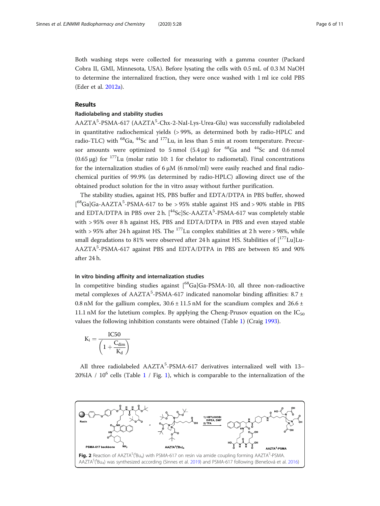<span id="page-5-0"></span>Both washing steps were collected for measuring with a gamma counter (Packard Cobra II, GMI, Minnesota, USA). Before lysating the cells with 0.5 mL of 0.3 M NaOH to determine the internalized fraction, they were once washed with 1 ml ice cold PBS (Eder et al. [2012a](#page-10-0)).

# Results

# Radiolabeling and stability studies

AAZTA<sup>5</sup>-PSMA-617 (AAZTA<sup>5</sup>-Chx-2-NaI-Lys-Urea-Glu) was successfully radiolabeled in quantitative radiochemical yields (> 99%, as determined both by radio-HPLC and radio-TLC) with  ${}^{68}Ga$ ,  ${}^{44}Sc$  and  ${}^{177}Lu$ , in less than 5 min at room temperature. Precursor amounts were optimized to 5 nmol  $(5.4 \text{ µg})$  for <sup>68</sup>Ga and <sup>44</sup>Sc and 0.6 nmol (0.65 μg) for  $177$ Lu (molar ratio 10: 1 for chelator to radiometal). Final concentrations for the internalization studies of 6 μM (6 nmol/ml) were easily reached and final radiochemical purities of 99.9% (as determined by radio-HPLC) allowing direct use of the obtained product solution for the in vitro assay without further purification.

The stability studies, against HS, PBS buffer and EDTA/DTPA in PBS buffer, showed [ ${}^{68}$ Ga]Ga-AAZTA<sup>5</sup>-PSMA-617 to be > 95% stable against HS and > 90% stable in PBS and EDTA/DTPA in PBS over 2 h. [<sup>44</sup>Sc]Sc-AAZTA<sup>5</sup>-PSMA-617 was completely stable with > 95% over 8 h against HS, PBS and EDTA/DTPA in PBS and even stayed stable with > 95% after 24 h against HS. The  $^{177}$ Lu complex stabilities at 2 h were > 98%, while small degradations to 81% were observed after 24 h against HS. Stabilities of  $[^{177}$ Lu]Lu-AAZTA<sup>5</sup>-PSMA-617 against PBS and EDTA/DTPA in PBS are between 85 and 90% after 24 h.

# In vitro binding affinity and internalization studies

In competitive binding studies against  $\int_{0}^{68}Ga|Ga-PSMA-10$ , all three non-radioactive metal complexes of  $AAZTA<sup>5</sup>-PSMA-617$  indicated nanomolar binding affinities: 8.7 ± 0.8 nM for the gallium complex,  $30.6 \pm 11.5$  nM for the scandium complex and  $26.6 \pm 1.5$ 11.1 nM for the lutetium complex. By applying the Cheng-Prusov equation on the  $IC_{50}$ values the following inhibition constants were obtained (Table [1\)](#page-6-0) (Craig [1993\)](#page-10-0).

$$
K_i = \frac{IC50}{\left(1 + \frac{C_{dim}}{K_d}\right)}
$$

All three radiolabeled AAZTA<sup>5</sup>-PSMA-617 derivatives internalized well with 13-20%IA /  $10^6$  $10^6$  cells (Table 1 / Fig. 1), which is comparable to the internalization of the

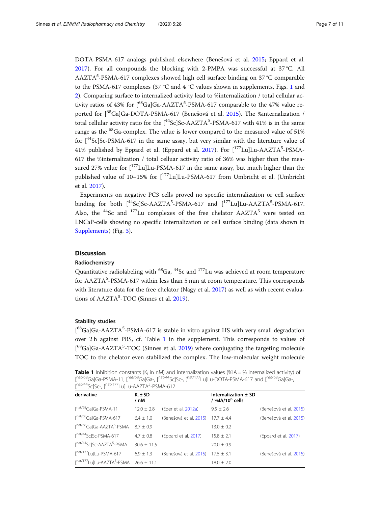<span id="page-6-0"></span>DOTA-PSMA-617 analogs published elsewhere (Benešová et al. [2015](#page-10-0); Eppard et al. [2017](#page-10-0)). For all compounds the blocking with 2-PMPA was successful at 37 °C. All AAZTA<sup>5</sup>-PSMA-617 complexes showed high cell surface binding on 37 °C comparable to the PSMA-617 complexes (37 °C and 4 °C values shown in supplements, Figs. [1](#page-9-0) and [2\)](#page-9-0). Comparing surface to internalized activity lead to %internalization / total cellular activity ratios of 43% for [<sup>68</sup>Ga]Ga-AAZTA<sup>5</sup>-PSMA-617 comparable to the 47% value re-ported for [<sup>68</sup>Ga]Ga-DOTA-PSMA-617 (Benešová et al. [2015\)](#page-10-0). The %internalization / total cellular activity ratio for the [<sup>44</sup>Sc]Sc-AAZTA<sup>5</sup>-PSMA-617 with 41% is in the same range as the  $^{68}$ Ga-complex. The value is lower compared to the measured value of 51% for  $[44$ Sc]Sc-PSMA-617 in the same assay, but very similar with the literature value of 41% published by Eppard et al. (Eppard et al. [2017](#page-10-0)). For  $[^{177}$ Lu]Lu-AAZTA<sup>5</sup>-PSMA-617 the %internalization / total celluar activity ratio of 36% was higher than the measured 27% value for  $\left[ {}^{177}$ Lu]Lu-PSMA-617 in the same assay, but much higher than the published value of 10–15% for [177Lu]Lu-PSMA-617 from Umbricht et al. (Umbricht et al. [2017\)](#page-10-0).

Experiments on negative PC3 cells proved no specific internalization or cell surface binding for both  $[$ <sup>44</sup>Sc]Sc-AAZTA<sup>5</sup>-PSMA-617 and  $[$ <sup>177</sup>Lu]Lu-AAZTA<sup>5</sup>-PSMA-617. Also, the  $^{44}$ Sc and  $^{177}$ Lu complexes of the free chelator  $AAZTA^5$  were tested on LNCaP-cells showing no specific internalization or cell surface binding (data shown in [Supplements](#page-9-0)) (Fig. [3\)](#page-7-0).

# **Discussion**

# Radiochemistry

Quantitative radiolabeling with  $^{68}$ Ga,  $^{44}$ Sc and  $^{177}$ Lu was achieved at room temperature for AAZTA<sup>5</sup>-PSMA-617 within less than 5 min at room temperature. This corresponds with literature data for the free chelator (Nagy et al. [2017](#page-10-0)) as well as with recent evalua-tions of AAZTA<sup>5</sup>-TOC (Sinnes et al. [2019](#page-10-0)).

## Stability studies

[<sup>68</sup>Ga]Ga-AAZTA<sup>5</sup>-PSMA-617 is stable in vitro against HS with very small degradation over 2 h against PBS, cf. Table [1](#page-9-0) in the supplement. This corresponds to values of [<sup>68</sup>Ga]Ga-AAZTA<sup>5</sup>-TOC (Sinnes et al. [2019](#page-10-0)) where conjugating the targeting molecule TOC to the chelator even stabilized the complex. The low-molecular weight molecule

**Table 1** Inhibition constants ( $K_i$  in nM) and internalization values (%IA = % internalized activity) of [<sup>nat/68</sup>Ga]Ga-PSMA-11, [<sup>nat/68</sup>Ga]Ga-, [<sup>nat/44</sup>Sc]Sc-, [<sup>nat/177</sup>Lu]Lu-DOTA-PSMA-617 and [<sup>nat/68</sup>Ga]Ga-, [nat/44Sc]Sc-, [nat/177Lu]Lu-AAZTA<sup>5</sup>-PSMA-617

| derivative                                                         | $K_i \pm SD$<br>/ nM |                        | Internalization $\pm$ SD<br>/ %IA/10 $^6$ cells |                        |
|--------------------------------------------------------------------|----------------------|------------------------|-------------------------------------------------|------------------------|
| $[^{nat/68}Ga]Ga$ -PSMA-11                                         | $12.0 + 2.8$         | (Eder et al. 2012a)    | $9.5 + 2.6$                                     | (Benešová et al. 2015) |
| [nat/68Ga]Ga-PSMA-617                                              | $6.4 \pm 1.0$        | (Benešová et al. 2015) | $17.7 + 4.4$                                    | (Benešová et al. 2015) |
| [nat/68Ga]Ga-AAZTA <sup>5</sup> -PSMA                              | $8.7 + 0.9$          |                        | $13.0 + 0.2$                                    |                        |
| $\left[^{\text{nat/44}}\text{Sc}\right]$ Sc-PSMA-617               | $4.7 \pm 0.8$        | (Eppard et al. 2017)   | $15.8 \pm 2.1$                                  | (Eppard et al. 2017)   |
| [nat/44Sc]Sc-AAZTA <sup>5</sup> -PSMA                              | $30.6 + 11.5$        |                        | $20.0 + 0.9$                                    |                        |
| [nat/177Lu]Lu-PSMA-617                                             | $6.9 \pm 1.3$        | (Benešová et al. 2015) | $17.5 \pm 3.1$                                  | (Benešová et al. 2015) |
| $\int^{\text{nat/177}}$ Lu]Lu-AAZTA <sup>5</sup> -PSMA 26.6 ± 11.1 |                      |                        | $18.0 + 2.0$                                    |                        |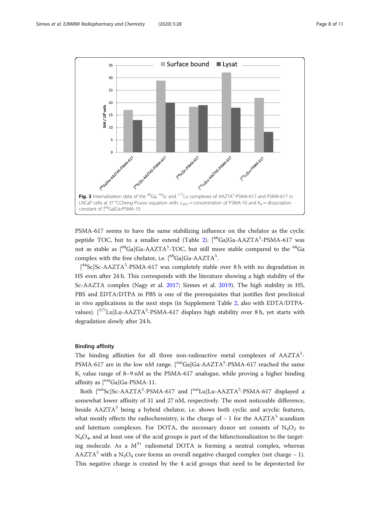<span id="page-7-0"></span>

PSMA-617 seems to have the same stabilizing influence on the chelator as the cyclic peptide TOC, but to a smaller extend (Table [2\)](#page-8-0). [<sup>68</sup>Ga]Ga-AAZTA<sup>5</sup>-PSMA-617 was not as stable as  $[$ <sup>68</sup>Ga]Ga-AAZTA<sup>5</sup>-TOC, but still more stable compared to the <sup>68</sup>Ga complex with the free chelator, i.e. [<sup>68</sup>Ga]Ga-AAZTA<sup>5</sup>.

[<sup>44</sup>Sc]Sc-AAZTA<sup>5</sup>-PSMA-617 was completely stable over 8 h with no degradation in HS even after 24 h. This corresponds with the literature showing a high stability of the Sc-AAZTA complex (Nagy et al. [2017;](#page-10-0) Sinnes et al. [2019\)](#page-10-0). The high stability in HS, PBS and EDTA/DTPA in PBS is one of the prerequisites that justifies first preclinical in vivo applications in the next steps (in Supplement Table [2](#page-9-0), also with EDTA/DTPAvalues).  $[$ <sup>177</sup>Lu]Lu-AAZTA<sup>5</sup>-PSMA-617 displays high stability over 8 h, yet starts with degradation slowly after 24 h.

#### Binding affinity

The binding affinities for all three non-radioactive metal complexes of AAZTA<sup>5</sup>-PSMA-617 are in the low nM range. [<sup>nat</sup>Ga]Ga-AAZTA<sup>5</sup>-PSMA-617 reached the same  $K_i$  value range of 8–9 nM as the PSMA-617 analogue, while proving a higher binding affinity as  $\left[\right]^{\text{nat}}$ Ga $\left[\right]$ Ga-PSMA-11.

Both [natSc]Sc-AAZTA<sup>5</sup>-PSMA-617 and [natLu]Lu-AAZTA<sup>5</sup>-PSMA-617 displayed a somewhat lower affinity of 31 and 27 nM, respectively. The most noticeable difference, beside  $AAZTA<sup>5</sup>$  being a hybrid chelator, i.e. shows both cyclic and acyclic features, what mostly effects the radiochemistry, is the charge of  $-1$  for the AAZTA<sup>5</sup> scandium and lutetium complexes. For DOTA, the necessary donor set consists of  $N_4O_2$  to  $N_4O_4$ , and at least one of the acid groups is part of the bifunctionalization to the targeting molecule. As a  $M^{3+}$  radiometal DOTA is forming a neutral complex, whereas AAZTA<sup>5</sup> with a N<sub>3</sub>O<sub>4</sub> core forms an overall negative charged complex (net charge – 1). This negative charge is created by the 4 acid groups that need to be deprotected for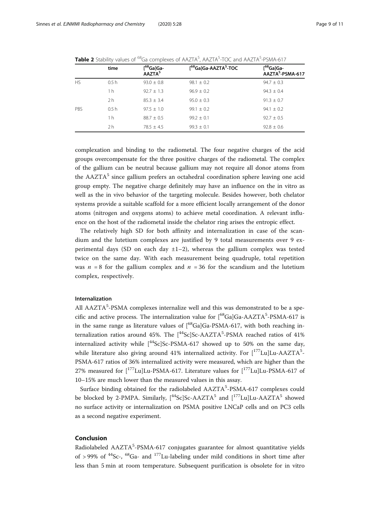|            | time             | $[$ <sup>68</sup> Ga]Ga-<br>AAZTA <sup>5</sup> | [ <sup>68</sup> Ga]Ga-AAZTA <sup>5</sup> -TOC | $[$ <sup>68</sup> Ga]Ga-<br>AAZTA <sup>5</sup> -PSMA-617 |
|------------|------------------|------------------------------------------------|-----------------------------------------------|----------------------------------------------------------|
| <b>HS</b>  | 0.5 <sub>h</sub> | $93.0 + 0.8$                                   | $98.1 + 0.2$                                  | $94.7 + 0.3$                                             |
|            | 1 h              | $92.7 \pm 1.3$                                 | $96.9 + 0.2$                                  | $94.3 \pm 0.4$                                           |
|            | 2 <sub>h</sub>   | $85.3 + 3.4$                                   | $95.0 + 0.3$                                  | $91.3 \pm 0.7$                                           |
| <b>PBS</b> | 0.5 <sub>h</sub> | $97.5 \pm 1.0$                                 | $99.1 \pm 0.2$                                | $94.1 + 0.2$                                             |
|            | 1 h              | $88.7 + 0.5$                                   | $99.2 + 0.1$                                  | $92.7 + 0.5$                                             |
|            | 2 <sub>h</sub>   | $78.5 \pm 4.5$                                 | $99.3 \pm 0.1$                                | $92.8 \pm 0.6$                                           |

<span id="page-8-0"></span>Table 2 Stability values of <sup>68</sup>Ga complexes of AAZTA<sup>5</sup>, AAZTA<sup>5</sup>-TOC and AAZTA<sup>5</sup>-PSMA-617

complexation and binding to the radiometal. The four negative charges of the acid groups overcompensate for the three positive charges of the radiometal. The complex of the gallium can be neutral because gallium may not require all donor atoms from the  $AAZTA<sup>5</sup>$  since gallium prefers an octahedral coordination sphere leaving one acid group empty. The negative charge definitely may have an influence on the in vitro as well as the in vivo behavior of the targeting molecule. Besides however, both chelator systems provide a suitable scaffold for a more efficient locally arrangement of the donor atoms (nitrogen and oxygens atoms) to achieve metal coordination. A relevant influence on the host of the radiometal inside the chelator ring arises the entropic effect.

The relatively high SD for both affinity and internalization in case of the scandium and the lutetium complexes are justified by 9 total measurements over 9 experimental days (SD on each day  $\pm 1-2$ ), whereas the gallium complex was tested twice on the same day. With each measurement being quadruple, total repetition was  $n = 8$  for the gallium complex and  $n = 36$  for the scandium and the lutetium complex, respectively.

# Internalization

All AAZTA<sup>5</sup>-PSMA complexes internalize well and this was demonstrated to be a specific and active process. The internalization value for [<sup>68</sup>Ga]Ga-AAZTA<sup>5</sup>-PSMA-617 is in the same range as literature values of  $1^{68}$ Ga]Ga-PSMA-617, with both reaching internalization ratios around 45%. The  $[^{44}\mathrm{Sc}]$ Sc-AAZTA<sup>5</sup>-PSMA reached ratios of 41% internalized activity while  $\int^{44}Sc\,Sc-PSMA-617$  showed up to 50% on the same day, while literature also giving around 41% internalized activity. For  $[$ <sup>177</sup>Lu]Lu-AAZTA<sup>5</sup>-PSMA-617 ratios of 36% internalized activity were measured, which are higher than the 27% measured for  $\left[ {}^{177}Lu \right]Lu$ -PSMA-617. Literature values for  $\left[ {}^{177}Lu \right]Lu$ -PSMA-617 of 10–15% are much lower than the measured values in this assay.

Surface binding obtained for the radiolabeled AAZTA<sup>5</sup>-PSMA-617 complexes could be blocked by 2-PMPA. Similarly,  $\int^{44}$ Sc]Sc-AAZTA<sup>5</sup> and  $\int^{177}$ Lu]Lu-AAZTA<sup>5</sup> showed no surface activity or internalization on PSMA positive LNCaP cells and on PC3 cells as a second negative experiment.

## Conclusion

Radiolabeled AAZTA<sup>5</sup>-PSMA-617 conjugates guarantee for almost quantitative yields of > 99% of  $^{44}$ Sc-,  $^{68}$ Ga- and  $^{177}$ Lu-labeling under mild conditions in short time after less than 5 min at room temperature. Subsequent purification is obsolete for in vitro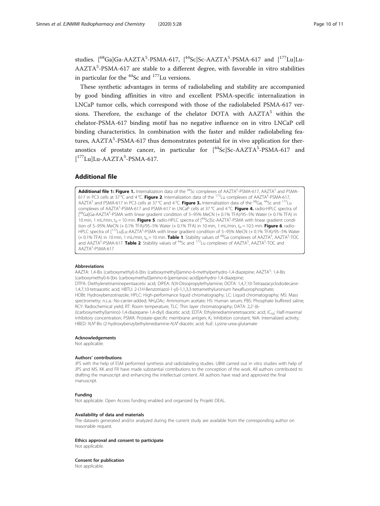<span id="page-9-0"></span>studies. [<sup>68</sup>Ga]Ga-AAZTA<sup>5</sup>-PSMA-617, [<sup>44</sup>Sc]Sc-AAZTA<sup>5</sup>-PSMA-617 and [<sup>177</sup>Lu]Lu-AAZTA<sup>5</sup>-PSMA-617 are stable to a different degree, with favorable in vitro stabilities in particular for the  $^{44}$ Sc and  $^{177}$ Lu versions.

These synthetic advantages in terms of radiolabeling and stability are accompanied by good binding affinities in vitro and excellent PSMA-specific internalization in LNCaP tumor cells, which correspond with those of the radiolabeled PSMA-617 versions. Therefore, the exchange of the chelator DOTA with  $AAZTA<sup>5</sup>$  within the chelator-PSMA-617 binding motif has no negative influence on in vitro LNCaP cell binding characteristics. In combination with the faster and milder radiolabeling features, AAZTA<sup>5</sup>-PSMA-617 thus demonstrates potential for in vivo application for theranostics of prostate cancer, in particular for  $[$ <sup>44</sup>Sc]Sc-AAZTA<sup>5</sup>-PSMA-617 and [<sup>177</sup>Lu]Lu-AAZTA<sup>5</sup>-PSMA-617.

#### Additional file

Additional file 1: Figure 1. Internalization data of the <sup>44</sup>Sc complexes of AAZTA<sup>5</sup>-PSMA-617, AAZTA<sup>5</sup> and PSMA-617 in PC3 cells at 37 °C and 4 °C. Figure 2. Internalization data of the  $^{177}$ Lu complexes of AAZTA<sup>5</sup>-PSMA-617, AAZTA<sup>5</sup> and PSMA-617 in PC3 cells at 37 °C and 4 °C. Figure 3. Internalization data of the <sup>68</sup>Ga, <sup>44</sup>Sc and <sup>177</sup>Lu complexes of AAZTA<sup>5</sup>-PSMA-617 and PSMA-617 in LNCaP cells at 37 °C and 4 °C. Figure 4. radio-HPLC spectra of [<sup>68</sup>Ga]Ga-AAZTA<sup>5</sup>-PSMA with linear gradient condition of 5–95% MeCN (+ 0.1% TFA)/95–5% Water (+ 0.1% TFA) in 10 min, 1 mL/min, t<sub>R</sub> = 10 min. Figure 5. radio-HPLC spectra of [<sup>44</sup>Sc]Sc-AAZTA<sup>5</sup>-PSMA with linear gradient condition of 5–95% MeCN (+ 0.1% TFA)/95–5% Water (+ 0.1% TFA) in 10 min, 1 mL/min,  $t_R = 10.5$  min. Figure 6. radio-HPLC spectra of [<sup>177</sup>Lu]Lu-AAZTA<sup>5</sup>-PSMA with linear gradient condition of 5–95% MeCN (+ 0.1% TFA)/95–5% Water (+0.1% TFA) in 10 min, 1 mL/min, t<sub>R</sub> = 10 min. **Table 1**. Stability values of <sup>68</sup>Ga complexes of AAZTA<sup>5</sup>, AAZTA<sup>5</sup>-TOC and AAZTA<sup>5</sup>-PSMA-617. Table 2. Stability values of <sup>44</sup>Sc and <sup>177</sup>Lu complexes of AAZTA<sup>5</sup>, AAZTA<sup>5</sup>-TOC and AAZTA<sup>5</sup>-PSMA-617

#### Abbreviations

AAZTA: 1,4-Bis (carboxymethyl)-6-[bis (carboxymethyl)]amino-6-methylperhydro-1,4-diazepine; AAZTA<sup>5</sup>: 1,4-Bis (carboxymethyl)-6-[bis (carboxymethyl)]amino-6-[pentanoic-acid]perhydro-1,4-diazepine; DTPA: Diethylenetriaminepentaacetic acid; DIPEA: N,N-Diisopropylethylamine; DOTA: 1,4,7,10-Tetraazacyclododecane-1,4,7,10-tetraacetic acid; HBTU: 2-(1H-Benzotriazol-1-yl)-1,1,3,3-tetramethyluronium hexafluorophosphate; HOBt: Hydroxybenzotriazole; HPLC: High-performance liquid chromatography; LC: Liquid chromatography; MS: Mass spectrometry; n.c.a.: No-carrier-added; NH4OAc: Ammonium acetate; HS: Human serum; PBS: Phosphate buffered saline; RCY: Radiochemical yield; RT: Room temperature; TLC: Thin layer chromatography; DATA: 2,2'-(6- ((carboxymethyl)amino)-1,4-diazepane-1,4-diyl) diacetic acid; EDTA: Ethylenediaminetetraacetic acid; IC<sub>50</sub>: Half-maximal inhibitory concentration; PSMA: Prostate-specific membrane antigen; Ki : Inhibition constant; %IA: Internalized activity; HBED: N,N′-Bis (2-hydroxybenzyl)ethylenediamine-N,N′-diacetic acid; KuE: Lysine-urea-glutamate

#### Acknowledgements

Not applicable.

#### Authors' contributions

JPS with the help of ESM performed synthesis and radiolabeling studies. UBW carried out in vitro studies with help of JPS and MS. KK and FR have made substantial contributions to the conception of the work. All authors contributed to drafting the manuscript and enhancing the intellectual content. All authors have read and approved the final manuscript.

#### Funding

Not applicable. Open Access funding enabled and organized by Projekt DEAL.

#### Availability of data and materials

The datasets generated and/or analyzed during the current study are available from the corresponding author on reasonable request.

#### Ethics approval and consent to participate

Not applicable.

#### Consent for publication

Not applicable.